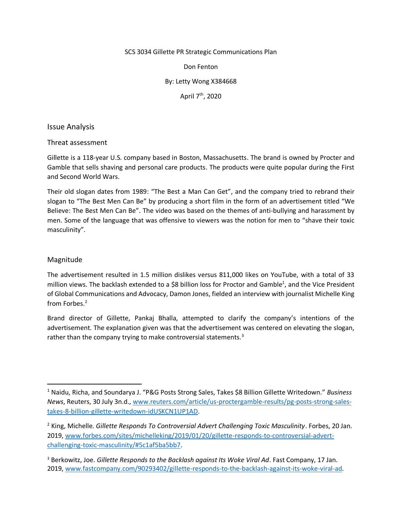#### SCS 3034 Gillette PR Strategic Communications Plan

Don Fenton

#### By: Letty Wong X384668

April 7th, 2020

Issue Analysis

Threat assessment

Gillette is a 118-year U.S. company based in Boston, Massachusetts. The brand is owned by Procter and Gamble that sells shaving and personal care products. The products were quite popular during the First and Second World Wars.

Their old slogan dates from 1989: "The Best a Man Can Get", and the company tried to rebrand their slogan to "The Best Men Can Be" by producing a short film in the form of an advertisement titled "We Believe: The Best Men Can Be". The video was based on the themes of anti-bullying and harassment by men. Some of the language that was offensive to viewers was the notion for men to "shave their toxic masculinity".

### Magnitude

The advertisement resulted in 1.5 million dislikes versus 811,000 likes on YouTube, with a total of 33 million views. The backlash extended to a \$8 billion loss for Proctor and Gamble<sup>1</sup>, and the Vice President of Global Communications and Advocacy, Damon Jones, fielded an interview with journalist Michelle King from Forbes. 2

Brand director of Gillette, Pankaj Bhalla, attempted to clarify the company's intentions of the advertisement. The explanation given was that the advertisement was centered on elevating the slogan, rather than the company trying to make controversial statements.<sup>3</sup>

<sup>1</sup> Naidu, Richa, and Soundarya J. "P&G Posts Strong Sales, Takes \$8 Billion Gillette Writedown." *Business News*, Reuters, 30 July 3n.d., [www.reuters.com/article/us-proctergamble-results/pg-posts-strong-sales](about:blank)[takes-8-billion-gillette-writedown-idUSKCN1UP1AD.](about:blank)

<sup>2</sup> King, Michelle. *Gillette Responds To Controversial Advert Challenging Toxic Masculinity*. Forbes, 20 Jan. 2019, [www.forbes.com/sites/michelleking/2019/01/20/gillette-responds-to-controversial-advert](about:blank)[challenging-toxic-masculinity/#5c1af5ba5bb7.](about:blank)

<sup>3</sup> Berkowitz, Joe. *Gillette Responds to the Backlash against Its Woke Viral Ad*. Fast Company, 17 Jan. 2019, [www.fastcompany.com/90293402/gillette-responds-to-the-backlash-against-its-woke-viral-ad.](about:blank)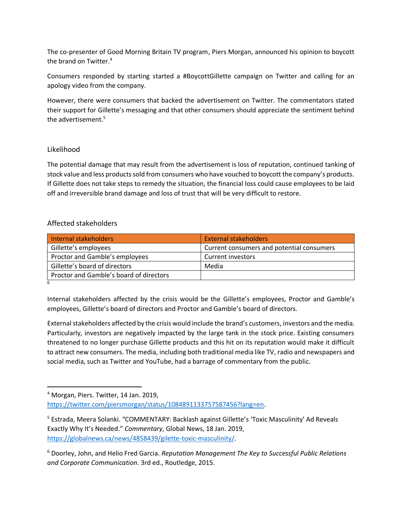The co-presenter of Good Morning Britain TV program, Piers Morgan, announced his opinion to boycott the brand on Twitter. 4

Consumers responded by starting started a #BoycottGillette campaign on Twitter and calling for an apology video from the company.

However, there were consumers that backed the advertisement on Twitter. The commentators stated their support for Gillette's messaging and that other consumers should appreciate the sentiment behind the advertisement.<sup>5</sup>

## Likelihood

The potential damage that may result from the advertisement is loss of reputation, continued tanking of stock value and less products sold from consumers who have vouched to boycott the company's products. If Gillette does not take steps to remedy the situation, the financial loss could cause employees to be laid off and irreversible brand damage and loss of trust that will be very difficult to restore.

# Affected stakeholders

| Internal stakeholders                   | <b>External stakeholders</b>              |
|-----------------------------------------|-------------------------------------------|
| Gillette's employees                    | Current consumers and potential consumers |
| Proctor and Gamble's employees          | Current investors                         |
| Gillette's board of directors           | Media                                     |
| Proctor and Gamble's board of directors |                                           |
| 6                                       |                                           |

Internal stakeholders affected by the crisis would be the Gillette's employees, Proctor and Gamble's employees, Gillette's board of directors and Proctor and Gamble's board of directors.

External stakeholders affected by the crisis would include the brand's customers, investors and the media. Particularly, investors are negatively impacted by the large tank in the stock price. Existing consumers threatened to no longer purchase Gillette products and this hit on its reputation would make it difficult to attract new consumers. The media, including both traditional media like TV, radio and newspapers and social media, such as Twitter and YouTube, had a barrage of commentary from the public.

<sup>4</sup> Morgan, Piers. Twitter, 14 Jan. 2019, [https://twitter.com/piersmorgan/status/1084891133757587456?lang=en.](about:blank)

<sup>&</sup>lt;sup>5</sup> Estrada, Meera Solanki. "COMMENTARY: Backlash against Gillette's 'Toxic Masculinity' Ad Reveals Exactly Why It's Needed." *Commentary*, Global News, 18 Jan. 2019, [https://globalnews.ca/news/4858439/gilette-toxic-masculinity/.](about:blank)

<sup>6</sup> Doorley, John, and Helio Fred Garcia. *Reputation Management The Key to Successful Public Relations and Corporate Communication*. 3rd ed., Routledge, 2015.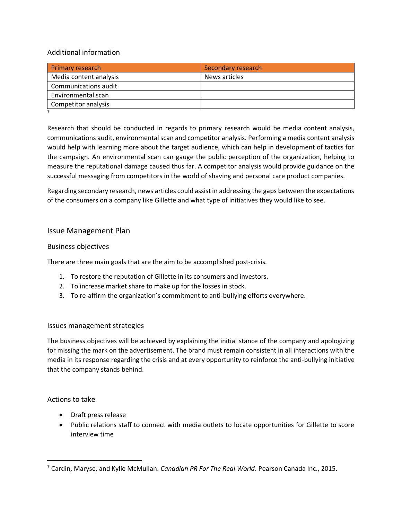## Additional information

| Primary research       | Secondary research |
|------------------------|--------------------|
| Media content analysis | News articles      |
| Communications audit   |                    |
| Environmental scan     |                    |
| Competitor analysis    |                    |
|                        |                    |

Research that should be conducted in regards to primary research would be media content analysis, communications audit, environmental scan and competitor analysis. Performing a media content analysis would help with learning more about the target audience, which can help in development of tactics for the campaign. An environmental scan can gauge the public perception of the organization, helping to measure the reputational damage caused thus far. A competitor analysis would provide guidance on the successful messaging from competitors in the world of shaving and personal care product companies.

Regarding secondary research, news articles could assist in addressing the gaps between the expectations of the consumers on a company like Gillette and what type of initiatives they would like to see.

### Issue Management Plan

#### Business objectives

There are three main goals that are the aim to be accomplished post-crisis.

- 1. To restore the reputation of Gillette in its consumers and investors.
- 2. To increase market share to make up for the losses in stock.
- 3. To re-affirm the organization's commitment to anti-bullying efforts everywhere.

#### Issues management strategies

The business objectives will be achieved by explaining the initial stance of the company and apologizing for missing the mark on the advertisement. The brand must remain consistent in all interactions with the media in its response regarding the crisis and at every opportunity to reinforce the anti-bullying initiative that the company stands behind.

#### Actions to take

- Draft press release
- Public relations staff to connect with media outlets to locate opportunities for Gillette to score interview time

<sup>7</sup> Cardin, Maryse, and Kylie McMullan. *Canadian PR For The Real World*. Pearson Canada Inc., 2015.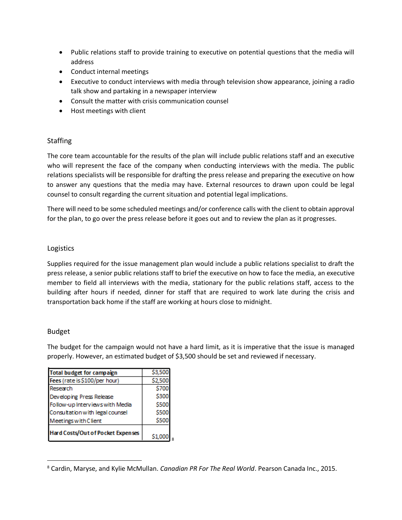- Public relations staff to provide training to executive on potential questions that the media will address
- Conduct internal meetings
- Executive to conduct interviews with media through television show appearance, joining a radio talk show and partaking in a newspaper interview
- Consult the matter with crisis communication counsel
- Host meetings with client

# **Staffing**

The core team accountable for the results of the plan will include public relations staff and an executive who will represent the face of the company when conducting interviews with the media. The public relations specialists will be responsible for drafting the press release and preparing the executive on how to answer any questions that the media may have. External resources to drawn upon could be legal counsel to consult regarding the current situation and potential legal implications.

There will need to be some scheduled meetings and/or conference calls with the client to obtain approval for the plan, to go over the press release before it goes out and to review the plan as it progresses.

## Logistics

Supplies required for the issue management plan would include a public relations specialist to draft the press release, a senior public relations staff to brief the executive on how to face the media, an executive member to field all interviews with the media, stationary for the public relations staff, access to the building after hours if needed, dinner for staff that are required to work late during the crisis and transportation back home if the staff are working at hours close to midnight.

## Budget

The budget for the campaign would not have a hard limit, as it is imperative that the issue is managed properly. However, an estimated budget of \$3,500 should be set and reviewed if necessary.

| <b>Total budget for campaign</b>  | \$3,500      |
|-----------------------------------|--------------|
|                                   |              |
| Fees (rate is \$100/per hour)     | \$2,500      |
| Research                          | \$700        |
| Developing Press Release          | \$300        |
| Follow-up Interviews with Media   | \$500        |
| Consultation with legal counsel   | \$500        |
| Meetings with Client              | \$500        |
| Hard Costs/Out of Pocket Expenses | \$1,000<br>я |

<sup>8</sup> Cardin, Maryse, and Kylie McMullan. *Canadian PR For The Real World*. Pearson Canada Inc., 2015.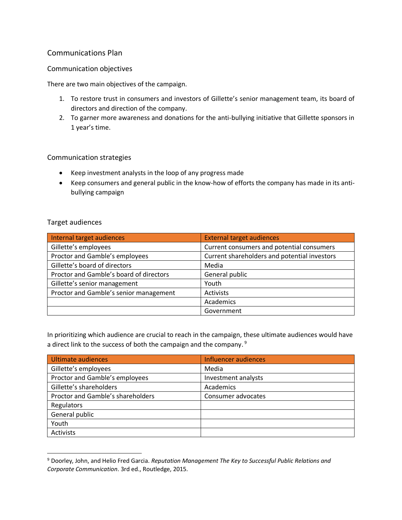# Communications Plan

### Communication objectives

There are two main objectives of the campaign.

- 1. To restore trust in consumers and investors of Gillette's senior management team, its board of directors and direction of the company.
- 2. To garner more awareness and donations for the anti-bullying initiative that Gillette sponsors in 1 year's time.

### Communication strategies

- Keep investment analysts in the loop of any progress made
- Keep consumers and general public in the know-how of efforts the company has made in its antibullying campaign

### Target audiences

| Internal target audiences               | <b>External target audiences</b>             |
|-----------------------------------------|----------------------------------------------|
| Gillette's employees                    | Current consumers and potential consumers    |
| Proctor and Gamble's employees          | Current shareholders and potential investors |
| Gillette's board of directors           | Media                                        |
| Proctor and Gamble's board of directors | General public                               |
| Gillette's senior management            | Youth                                        |
| Proctor and Gamble's senior management  | Activists                                    |
|                                         | Academics                                    |
|                                         | Government                                   |

In prioritizing which audience are crucial to reach in the campaign, these ultimate audiences would have a direct link to the success of both the campaign and the company. <sup>9</sup>

| Ultimate audiences                | Influencer audiences |
|-----------------------------------|----------------------|
| Gillette's employees              | Media                |
| Proctor and Gamble's employees    | Investment analysts  |
| Gillette's shareholders           | Academics            |
| Proctor and Gamble's shareholders | Consumer advocates   |
| Regulators                        |                      |
| General public                    |                      |
| Youth                             |                      |
| Activists                         |                      |

<sup>9</sup> Doorley, John, and Helio Fred Garcia. *Reputation Management The Key to Successful Public Relations and Corporate Communication*. 3rd ed., Routledge, 2015.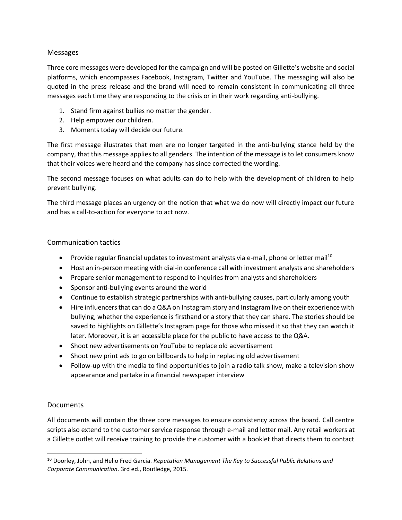## Messages

Three core messages were developed for the campaign and will be posted on Gillette's website and social platforms, which encompasses Facebook, Instagram, Twitter and YouTube. The messaging will also be quoted in the press release and the brand will need to remain consistent in communicating all three messages each time they are responding to the crisis or in their work regarding anti-bullying.

- 1. Stand firm against bullies no matter the gender.
- 2. Help empower our children.
- 3. Moments today will decide our future.

The first message illustrates that men are no longer targeted in the anti-bullying stance held by the company, that this message applies to all genders. The intention of the message is to let consumers know that their voices were heard and the company has since corrected the wording.

The second message focuses on what adults can do to help with the development of children to help prevent bullying.

The third message places an urgency on the notion that what we do now will directly impact our future and has a call-to-action for everyone to act now.

### Communication tactics

- Provide regular financial updates to investment analysts via e-mail, phone or letter mail<sup>10</sup>
- Host an in-person meeting with dial-in conference call with investment analysts and shareholders
- Prepare senior management to respond to inquiries from analysts and shareholders
- Sponsor anti-bullying events around the world
- Continue to establish strategic partnerships with anti-bullying causes, particularly among youth
- Hire influencers that can do a Q&A on Instagram story and Instagram live on their experience with bullying, whether the experience is firsthand or a story that they can share. The stories should be saved to highlights on Gillette's Instagram page for those who missed it so that they can watch it later. Moreover, it is an accessible place for the public to have access to the Q&A.
- Shoot new advertisements on YouTube to replace old advertisement
- Shoot new print ads to go on billboards to help in replacing old advertisement
- Follow-up with the media to find opportunities to join a radio talk show, make a television show appearance and partake in a financial newspaper interview

## Documents

All documents will contain the three core messages to ensure consistency across the board. Call centre scripts also extend to the customer service response through e-mail and letter mail. Any retail workers at a Gillette outlet will receive training to provide the customer with a booklet that directs them to contact

<sup>10</sup> Doorley, John, and Helio Fred Garcia. *Reputation Management The Key to Successful Public Relations and Corporate Communication*. 3rd ed., Routledge, 2015.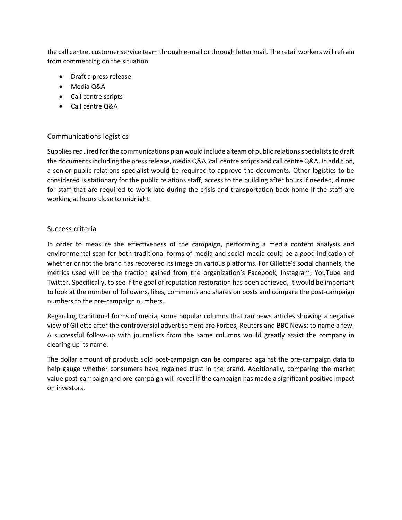the call centre, customer service team through e-mail or through letter mail. The retail workers will refrain from commenting on the situation.

- Draft a press release
- Media Q&A
- Call centre scripts
- Call centre Q&A

## Communications logistics

Supplies required for the communications plan would include a team of public relations specialists to draft the documents including the press release, media Q&A, call centre scripts and call centre Q&A. In addition, a senior public relations specialist would be required to approve the documents. Other logistics to be considered is stationary for the public relations staff, access to the building after hours if needed, dinner for staff that are required to work late during the crisis and transportation back home if the staff are working at hours close to midnight.

### Success criteria

In order to measure the effectiveness of the campaign, performing a media content analysis and environmental scan for both traditional forms of media and social media could be a good indication of whether or not the brand has recovered its image on various platforms. For Gillette's social channels, the metrics used will be the traction gained from the organization's Facebook, Instagram, YouTube and Twitter. Specifically, to see if the goal of reputation restoration has been achieved, it would be important to look at the number of followers, likes, comments and shares on posts and compare the post-campaign numbers to the pre-campaign numbers.

Regarding traditional forms of media, some popular columns that ran news articles showing a negative view of Gillette after the controversial advertisement are Forbes, Reuters and BBC News; to name a few. A successful follow-up with journalists from the same columns would greatly assist the company in clearing up its name.

The dollar amount of products sold post-campaign can be compared against the pre-campaign data to help gauge whether consumers have regained trust in the brand. Additionally, comparing the market value post-campaign and pre-campaign will reveal if the campaign has made a significant positive impact on investors.